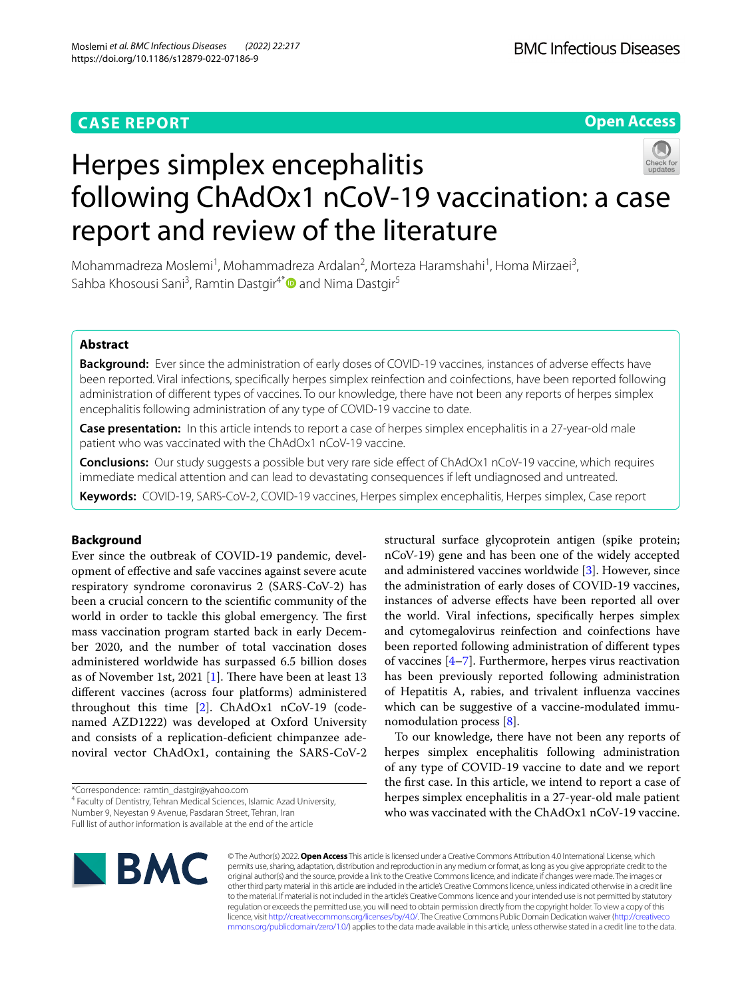## **CASE REPORT**

**Open Access**

# Herpes simplex encephalitis following ChAdOx1 nCoV-19 vaccination: a case report and review of the literature

Mohammadreza Moslemi<sup>1</sup>, Mohammadreza Ardalan<sup>2</sup>, Morteza Haramshahi<sup>1</sup>, Homa Mirzaei<sup>3</sup>, Sahba Khosousi Sani<sup>3</sup>, Ramtin Dastgir<sup>4[\\*](http://orcid.org/0000-0002-9543-982X)</sup> and Nima Dastgir<sup>5</sup>

## **Abstract**

**Background:** Ever since the administration of early doses of COVID-19 vaccines, instances of adverse efects have been reported. Viral infections, specifcally herpes simplex reinfection and coinfections, have been reported following administration of diferent types of vaccines. To our knowledge, there have not been any reports of herpes simplex encephalitis following administration of any type of COVID-19 vaccine to date.

**Case presentation:** In this article intends to report a case of herpes simplex encephalitis in a 27-year-old male patient who was vaccinated with the ChAdOx1 nCoV-19 vaccine.

**Conclusions:** Our study suggests a possible but very rare side efect of ChAdOx1 nCoV-19 vaccine, which requires immediate medical attention and can lead to devastating consequences if left undiagnosed and untreated.

**Keywords:** COVID-19, SARS-CoV-2, COVID-19 vaccines, Herpes simplex encephalitis, Herpes simplex, Case report

## **Background**

Ever since the outbreak of COVID-19 pandemic, development of efective and safe vaccines against severe acute respiratory syndrome coronavirus 2 (SARS-CoV-2) has been a crucial concern to the scientifc community of the world in order to tackle this global emergency. The first mass vaccination program started back in early December 2020, and the number of total vaccination doses administered worldwide has surpassed 6.5 billion doses as of November [1](#page-2-0)st, 2021 [1]. There have been at least  $13$ diferent vaccines (across four platforms) administered throughout this time [\[2\]](#page-2-1). ChAdOx1 nCoV-19 (codenamed AZD1222) was developed at Oxford University and consists of a replication-defcient chimpanzee adenoviral vector ChAdOx1, containing the SARS-CoV-2

\*Correspondence: ramtin\_dastgir@yahoo.com

<sup>4</sup> Faculty of Dentistry, Tehran Medical Sciences, Islamic Azad University, Number 9, Neyestan 9 Avenue, Pasdaran Street, Tehran, Iran

structural surface glycoprotein antigen (spike protein; nCoV-19) gene and has been one of the widely accepted and administered vaccines worldwide [\[3](#page-2-2)]. However, since the administration of early doses of COVID-19 vaccines, instances of adverse efects have been reported all over the world. Viral infections, specifcally herpes simplex and cytomegalovirus reinfection and coinfections have been reported following administration of diferent types of vaccines [[4–](#page-2-3)[7](#page-3-0)]. Furthermore, herpes virus reactivation has been previously reported following administration of Hepatitis A, rabies, and trivalent infuenza vaccines which can be suggestive of a vaccine-modulated immunomodulation process [\[8](#page-3-1)].

To our knowledge, there have not been any reports of herpes simplex encephalitis following administration of any type of COVID-19 vaccine to date and we report the frst case. In this article, we intend to report a case of herpes simplex encephalitis in a 27-year-old male patient who was vaccinated with the ChAdOx1 nCoV-19 vaccine.



© The Author(s) 2022. **Open Access** This article is licensed under a Creative Commons Attribution 4.0 International License, which permits use, sharing, adaptation, distribution and reproduction in any medium or format, as long as you give appropriate credit to the original author(s) and the source, provide a link to the Creative Commons licence, and indicate if changes were made. The images or other third party material in this article are included in the article's Creative Commons licence, unless indicated otherwise in a credit line to the material. If material is not included in the article's Creative Commons licence and your intended use is not permitted by statutory regulation or exceeds the permitted use, you will need to obtain permission directly from the copyright holder. To view a copy of this licence, visit [http://creativecommons.org/licenses/by/4.0/.](http://creativecommons.org/licenses/by/4.0/) The Creative Commons Public Domain Dedication waiver ([http://creativeco](http://creativecommons.org/publicdomain/zero/1.0/) [mmons.org/publicdomain/zero/1.0/](http://creativecommons.org/publicdomain/zero/1.0/)) applies to the data made available in this article, unless otherwise stated in a credit line to the data.

Full list of author information is available at the end of the article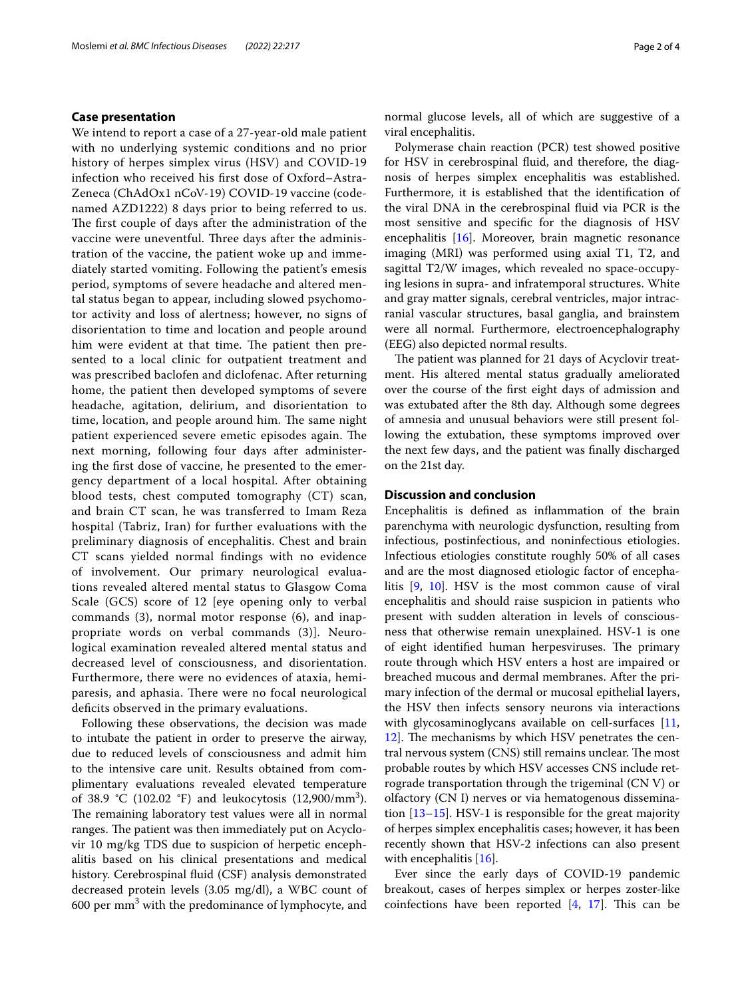#### **Case presentation**

We intend to report a case of a 27-year-old male patient with no underlying systemic conditions and no prior history of herpes simplex virus (HSV) and COVID-19 infection who received his frst dose of Oxford–Astra-Zeneca (ChAdOx1 nCoV-19) COVID-19 vaccine (codenamed AZD1222) 8 days prior to being referred to us. The first couple of days after the administration of the vaccine were uneventful. Three days after the administration of the vaccine, the patient woke up and immediately started vomiting. Following the patient's emesis period, symptoms of severe headache and altered mental status began to appear, including slowed psychomotor activity and loss of alertness; however, no signs of disorientation to time and location and people around him were evident at that time. The patient then presented to a local clinic for outpatient treatment and was prescribed baclofen and diclofenac. After returning home, the patient then developed symptoms of severe headache, agitation, delirium, and disorientation to time, location, and people around him. The same night patient experienced severe emetic episodes again. The next morning, following four days after administering the frst dose of vaccine, he presented to the emergency department of a local hospital. After obtaining blood tests, chest computed tomography (CT) scan, and brain CT scan, he was transferred to Imam Reza hospital (Tabriz, Iran) for further evaluations with the preliminary diagnosis of encephalitis. Chest and brain CT scans yielded normal fndings with no evidence of involvement. Our primary neurological evaluations revealed altered mental status to Glasgow Coma Scale (GCS) score of 12 [eye opening only to verbal commands (3), normal motor response (6), and inappropriate words on verbal commands (3)]. Neurological examination revealed altered mental status and decreased level of consciousness, and disorientation. Furthermore, there were no evidences of ataxia, hemiparesis, and aphasia. There were no focal neurological deficits observed in the primary evaluations.

Following these observations, the decision was made to intubate the patient in order to preserve the airway, due to reduced levels of consciousness and admit him to the intensive care unit. Results obtained from complimentary evaluations revealed elevated temperature of 38.9 °C (102.02 °F) and leukocytosis (12,900/mm<sup>3</sup>). The remaining laboratory test values were all in normal ranges. The patient was then immediately put on Acyclovir 10 mg/kg TDS due to suspicion of herpetic encephalitis based on his clinical presentations and medical history. Cerebrospinal fuid (CSF) analysis demonstrated decreased protein levels (3.05 mg/dl), a WBC count of 600 per  $\text{mm}^3$  with the predominance of lymphocyte, and normal glucose levels, all of which are suggestive of a viral encephalitis.

Polymerase chain reaction (PCR) test showed positive for HSV in cerebrospinal fuid, and therefore, the diagnosis of herpes simplex encephalitis was established. Furthermore, it is established that the identifcation of the viral DNA in the cerebrospinal fuid via PCR is the most sensitive and specifc for the diagnosis of HSV encephalitis [[16](#page-3-2)]. Moreover, brain magnetic resonance imaging (MRI) was performed using axial T1, T2, and sagittal T2/W images, which revealed no space-occupying lesions in supra- and infratemporal structures. White and gray matter signals, cerebral ventricles, major intracranial vascular structures, basal ganglia, and brainstem were all normal. Furthermore, electroencephalography (EEG) also depicted normal results.

The patient was planned for 21 days of Acyclovir treatment. His altered mental status gradually ameliorated over the course of the frst eight days of admission and was extubated after the 8th day. Although some degrees of amnesia and unusual behaviors were still present following the extubation, these symptoms improved over the next few days, and the patient was fnally discharged on the 21st day.

### **Discussion and conclusion**

Encephalitis is defned as infammation of the brain parenchyma with neurologic dysfunction, resulting from infectious, postinfectious, and noninfectious etiologies. Infectious etiologies constitute roughly 50% of all cases and are the most diagnosed etiologic factor of encephalitis [[9,](#page-3-3) [10\]](#page-3-4). HSV is the most common cause of viral encephalitis and should raise suspicion in patients who present with sudden alteration in levels of consciousness that otherwise remain unexplained. HSV-1 is one of eight identified human herpesviruses. The primary route through which HSV enters a host are impaired or breached mucous and dermal membranes. After the primary infection of the dermal or mucosal epithelial layers, the HSV then infects sensory neurons via interactions with glycosaminoglycans available on cell-surfaces [[11](#page-3-5), [12\]](#page-3-6). The mechanisms by which HSV penetrates the central nervous system (CNS) still remains unclear. The most probable routes by which HSV accesses CNS include retrograde transportation through the trigeminal (CN V) or olfactory (CN I) nerves or via hematogenous dissemination [\[13](#page-3-7)–[15\]](#page-3-8). HSV-1 is responsible for the great majority of herpes simplex encephalitis cases; however, it has been recently shown that HSV-2 infections can also present with encephalitis [[16](#page-3-2)].

Ever since the early days of COVID-19 pandemic breakout, cases of herpes simplex or herpes zoster-like coinfections have been reported  $[4, 17]$  $[4, 17]$  $[4, 17]$ . This can be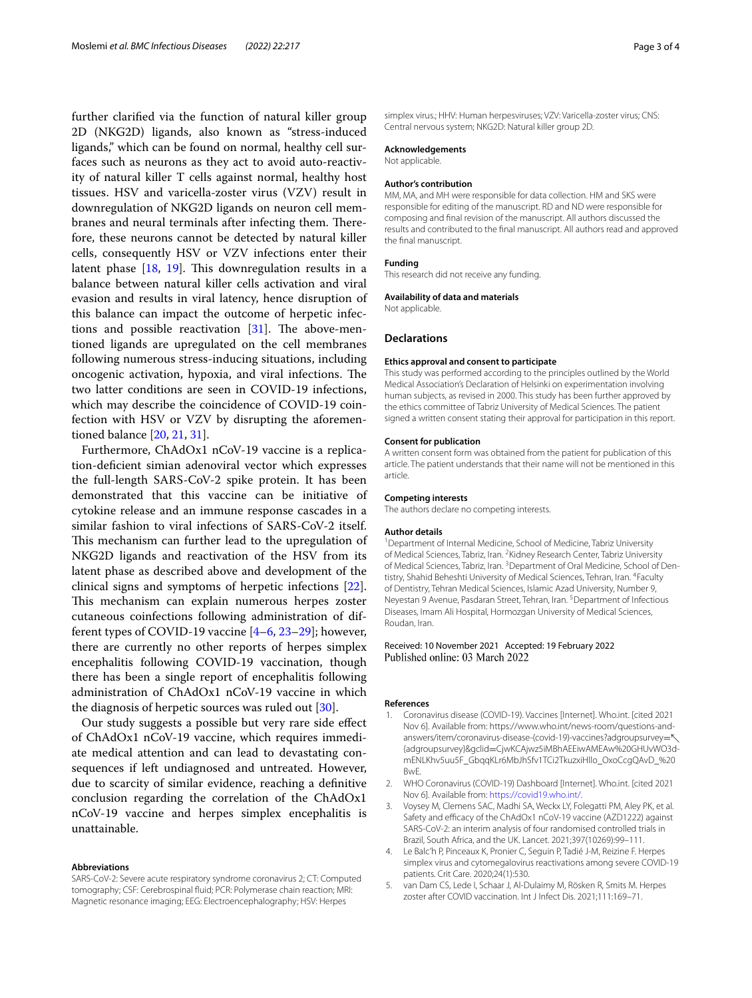further clarifed via the function of natural killer group 2D (NKG2D) ligands, also known as "stress-induced ligands," which can be found on normal, healthy cell surfaces such as neurons as they act to avoid auto-reactivity of natural killer T cells against normal, healthy host tissues. HSV and varicella-zoster virus (VZV) result in downregulation of NKG2D ligands on neuron cell membranes and neural terminals after infecting them. Therefore, these neurons cannot be detected by natural killer cells, consequently HSV or VZV infections enter their latent phase  $[18, 19]$  $[18, 19]$  $[18, 19]$ . This downregulation results in a balance between natural killer cells activation and viral evasion and results in viral latency, hence disruption of this balance can impact the outcome of herpetic infections and possible reactivation  $[31]$  $[31]$ . The above-mentioned ligands are upregulated on the cell membranes following numerous stress-inducing situations, including oncogenic activation, hypoxia, and viral infections. The two latter conditions are seen in COVID-19 infections, which may describe the coincidence of COVID-19 coinfection with HSV or VZV by disrupting the aforementioned balance [[20,](#page-3-13) [21](#page-3-14), [31](#page-3-12)].

Furthermore, ChAdOx1 nCoV-19 vaccine is a replication-defcient simian adenoviral vector which expresses the full-length SARS-CoV-2 spike protein. It has been demonstrated that this vaccine can be initiative of cytokine release and an immune response cascades in a similar fashion to viral infections of SARS-CoV-2 itself. This mechanism can further lead to the upregulation of NKG2D ligands and reactivation of the HSV from its latent phase as described above and development of the clinical signs and symptoms of herpetic infections [\[22](#page-3-15)]. This mechanism can explain numerous herpes zoster cutaneous coinfections following administration of different types of COVID-19 vaccine [[4–](#page-2-3)[6](#page-3-16), [23–](#page-3-17)[29\]](#page-3-18); however, there are currently no other reports of herpes simplex encephalitis following COVID-19 vaccination, though there has been a single report of encephalitis following administration of ChAdOx1 nCoV-19 vaccine in which the diagnosis of herpetic sources was ruled out [\[30\]](#page-3-19).

Our study suggests a possible but very rare side efect of ChAdOx1 nCoV-19 vaccine, which requires immediate medical attention and can lead to devastating consequences if left undiagnosed and untreated. However, due to scarcity of similar evidence, reaching a defnitive conclusion regarding the correlation of the ChAdOx1 nCoV-19 vaccine and herpes simplex encephalitis is unattainable.

#### **Abbreviations**

SARS-CoV-2: Severe acute respiratory syndrome coronavirus 2; CT: Computed tomography; CSF: Cerebrospinal fuid; PCR: Polymerase chain reaction; MRI: Magnetic resonance imaging; EEG: Electroencephalography; HSV: Herpes

simplex virus.; HHV: Human herpesviruses; VZV: Varicella-zoster virus; CNS: Central nervous system; NKG2D: Natural killer group 2D.

#### **Acknowledgements**

Not applicable.

#### **Author's contribution**

MM, MA, and MH were responsible for data collection. HM and SKS were responsible for editing of the manuscript. RD and ND were responsible for composing and fnal revision of the manuscript. All authors discussed the results and contributed to the fnal manuscript. All authors read and approved the fnal manuscript.

#### **Funding**

This research did not receive any funding.

#### **Availability of data and materials**

Not applicable.

#### **Declarations**

#### **Ethics approval and consent to participate**

This study was performed according to the principles outlined by the World Medical Association's Declaration of Helsinki on experimentation involving human subjects, as revised in 2000. This study has been further approved by the ethics committee of Tabriz University of Medical Sciences. The patient signed a written consent stating their approval for participation in this report.

#### **Consent for publication**

A written consent form was obtained from the patient for publication of this article. The patient understands that their name will not be mentioned in this article.

#### **Competing interests**

The authors declare no competing interests.

#### **Author details**

<sup>1</sup> Department of Internal Medicine, School of Medicine, Tabriz University of Medical Sciences, Tabriz, Iran. <sup>2</sup> Kidney Research Center, Tabriz University of Medical Sciences, Tabriz, Iran. <sup>3</sup> Department of Oral Medicine, School of Dentistry, Shahid Beheshti University of Medical Sciences, Tehran, Iran. <sup>4</sup>Faculty of Dentistry, Tehran Medical Sciences, Islamic Azad University, Number 9, Neyestan 9 Avenue, Pasdaran Street, Tehran, Iran. <sup>5</sup> Department of Infectious Diseases, Imam Ali Hospital, Hormozgan University of Medical Sciences, Roudan, Iran.

#### Received: 10 November 2021 Accepted: 19 February 2022 Published online: 03 March 2022

#### **References**

- <span id="page-2-0"></span>1. Coronavirus disease (COVID-19). Vaccines [Internet]. Who.int. [cited 2021 Nov 6]. Available from: https://www.who.int/news-room/questions-andanswers/item/coronavirus-disease-(covid-19)-vaccines?adgroupsurvey= {adgroupsurvey}&gclid=CjwKCAjwz5iMBhAEEiwAMEAw%20GHUvWO3dmENLKhv5uu5F\_GbqqKLr6MbJhSfv1TCi2TkuzxiHllo\_OxoCcgQAvD\_%20 BwE.
- <span id="page-2-1"></span>2. WHO Coronavirus (COVID-19) Dashboard [Internet]. Who.int. [cited 2021 Nov 6]. Available from: <https://covid19.who.int/>.
- <span id="page-2-2"></span>3. Voysey M, Clemens SAC, Madhi SA, Weckx LY, Folegatti PM, Aley PK, et al. Safety and efficacy of the ChAdOx1 nCoV-19 vaccine (AZD1222) against SARS-CoV-2: an interim analysis of four randomised controlled trials in Brazil, South Africa, and the UK. Lancet. 2021;397(10269):99–111.
- <span id="page-2-3"></span>4. Le Balc'h P, Pinceaux K, Pronier C, Seguin P, Tadié J-M, Reizine F. Herpes simplex virus and cytomegalovirus reactivations among severe COVID-19 patients. Crit Care. 2020;24(1):530.
- 5. van Dam CS, Lede I, Schaar J, Al-Dulaimy M, Rösken R, Smits M. Herpes zoster after COVID vaccination. Int J Infect Dis. 2021;111:169–71.